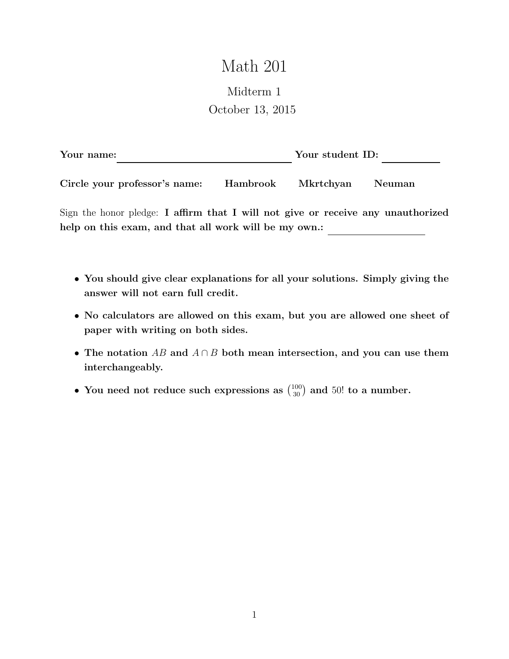## Math 201

## Midterm 1 October 13, 2015

| Your name:                    |          | Your student ID: |  |
|-------------------------------|----------|------------------|--|
|                               |          |                  |  |
| Circle your professor's name: | Hambrook | Mkrtchyan Neuman |  |

Sign the honor pledge: I affirm that I will not give or receive any unauthorized help on this exam, and that all work will be my own.:

- You should give clear explanations for all your solutions. Simply giving the answer will not earn full credit.
- No calculators are allowed on this exam, but you are allowed one sheet of paper with writing on both sides.
- The notation AB and  $A \cap B$  both mean intersection, and you can use them interchangeably.
- You need not reduce such expressions as  $\binom{100}{30}$  and 50! to a number.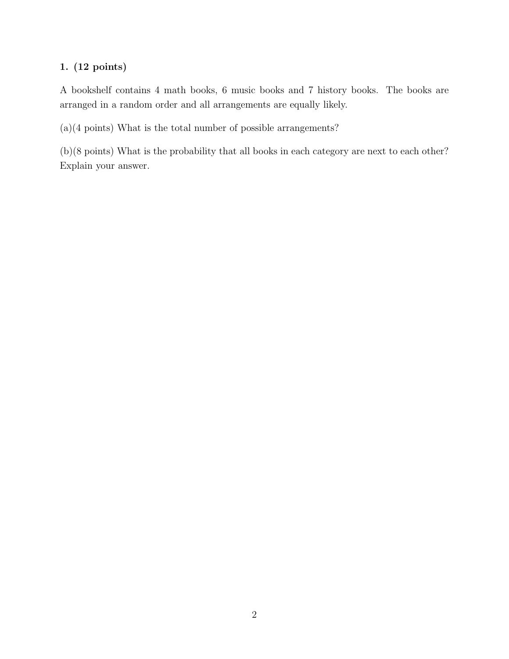## 1. (12 points)

A bookshelf contains 4 math books, 6 music books and 7 history books. The books are arranged in a random order and all arrangements are equally likely.

(a)(4 points) What is the total number of possible arrangements?

(b)(8 points) What is the probability that all books in each category are next to each other? Explain your answer.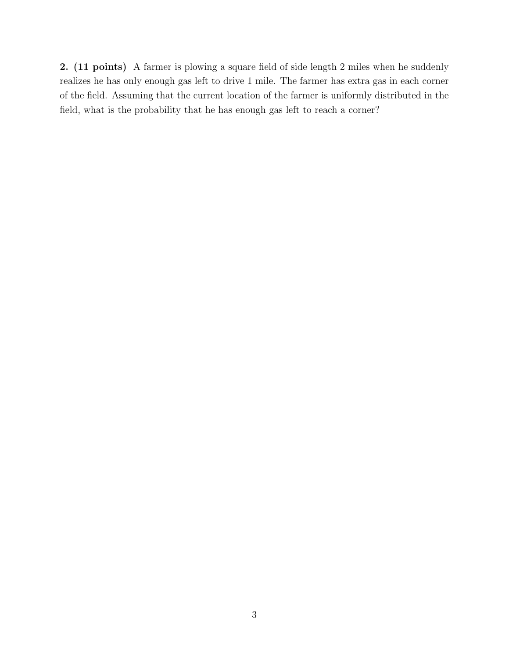2. (11 points) A farmer is plowing a square field of side length 2 miles when he suddenly realizes he has only enough gas left to drive 1 mile. The farmer has extra gas in each corner of the field. Assuming that the current location of the farmer is uniformly distributed in the field, what is the probability that he has enough gas left to reach a corner?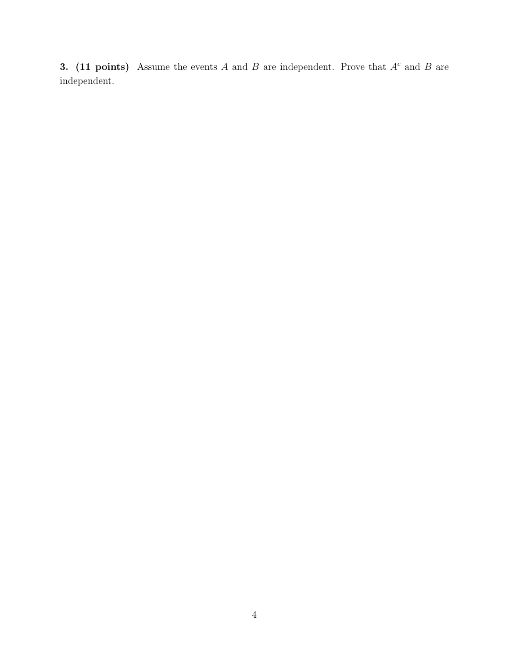3. (11 points) Assume the events A and B are independent. Prove that  $A<sup>c</sup>$  and B are independent.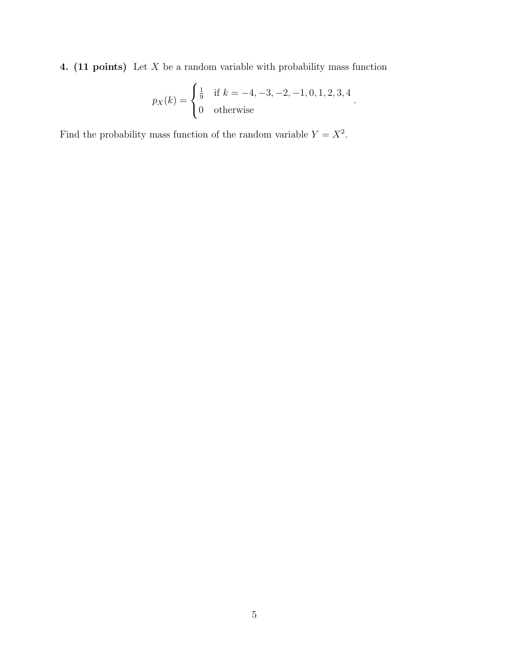4. (11 points) Let  $X$  be a random variable with probability mass function

$$
p_X(k) = \begin{cases} \frac{1}{9} & \text{if } k = -4, -3, -2, -1, 0, 1, 2, 3, 4 \\ 0 & \text{otherwise} \end{cases}.
$$

Find the probability mass function of the random variable  $Y = X^2$ .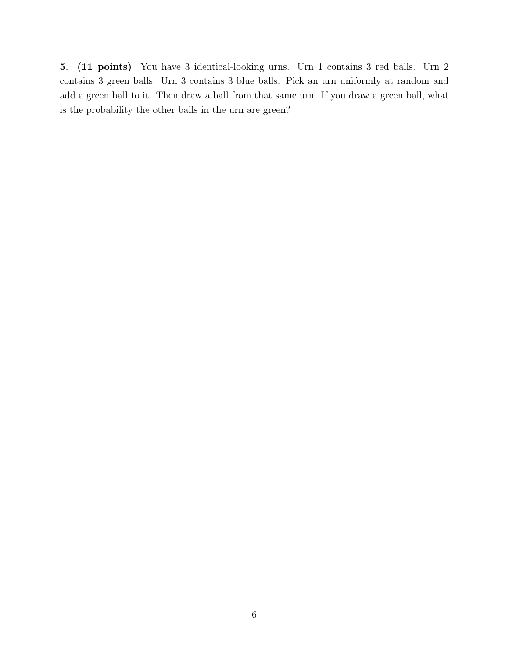5. (11 points) You have 3 identical-looking urns. Urn 1 contains 3 red balls. Urn 2 contains 3 green balls. Urn 3 contains 3 blue balls. Pick an urn uniformly at random and add a green ball to it. Then draw a ball from that same urn. If you draw a green ball, what is the probability the other balls in the urn are green?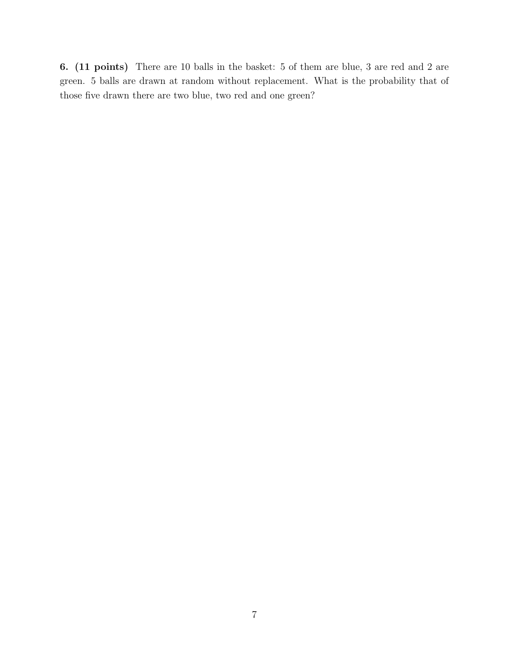6. (11 points) There are 10 balls in the basket: 5 of them are blue, 3 are red and 2 are green. 5 balls are drawn at random without replacement. What is the probability that of those five drawn there are two blue, two red and one green?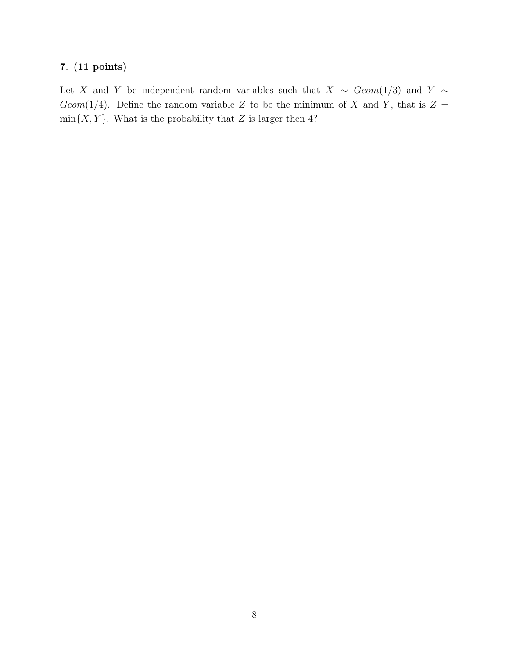## 7. (11 points)

Let X and Y be independent random variables such that  $X \sim Geom(1/3)$  and Y ∼ Geom(1/4). Define the random variable Z to be the minimum of X and Y, that is  $Z =$  $min{X, Y}$ . What is the probability that Z is larger then 4?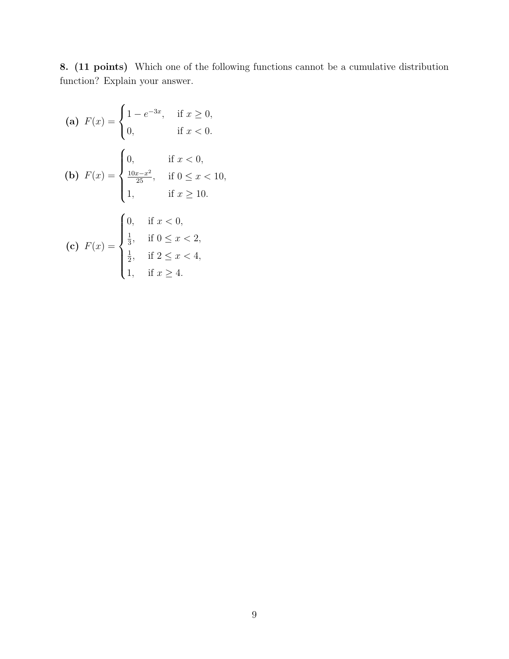8. (11 points) Which one of the following functions cannot be a cumulative distribution function? Explain your answer.

(a) 
$$
F(x) = \begin{cases} 1 - e^{-3x}, & \text{if } x \ge 0, \\ 0, & \text{if } x < 0. \end{cases}
$$
  
\n(b)  $F(x) = \begin{cases} 0, & \text{if } x < 0, \\ \frac{10x - x^2}{25}, & \text{if } 0 \le x < 10, \\ 1, & \text{if } x \ge 10. \end{cases}$   
\n(c)  $F(x) = \begin{cases} 0, & \text{if } x < 0, \\ \frac{1}{3}, & \text{if } 0 \le x < 2, \\ \frac{1}{2}, & \text{if } 2 \le x < 4, \\ 1, & \text{if } x \ge 4. \end{cases}$